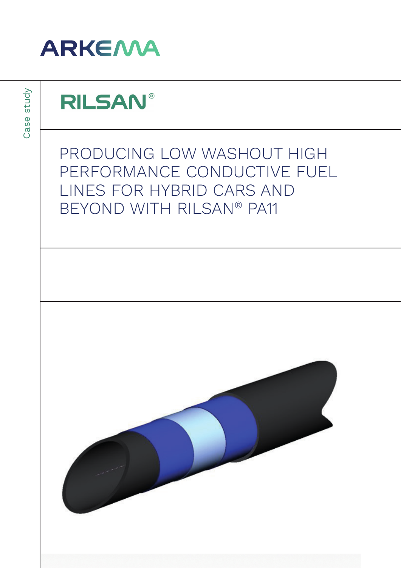

Case study Case study

## **RILSAN®**

PRODUCING LOW WASHOUT HIGH PERFORMANCE CONDUCTIVE FUEL LINES FOR HYBRID CARS AND BEYOND WITH RILSAN® PA11

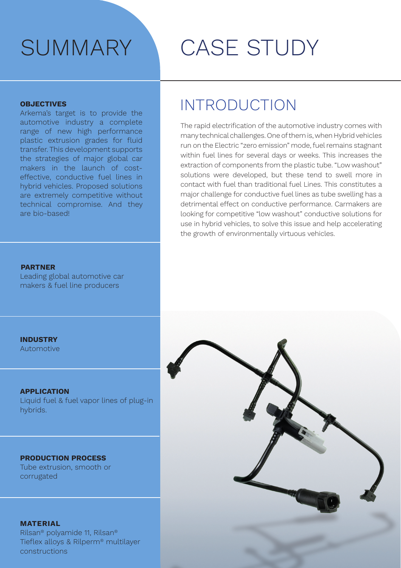#### **OBJECTIVES**

Arkema's target is to provide the automotive industry a complete range of new high performance plastic extrusion grades for fluid transfer. This development supports the strategies of major global car makers in the launch of costeffective, conductive fuel lines in hybrid vehicles. Proposed solutions are extremely competitive without technical compromise. And they are bio-based!

# SUMMARY CASE STUDY

### INTRODUCTION

The rapid electrification of the automotive industry comes with many technical challenges. One of them is, when Hybrid vehicles run on the Electric "zero emission" mode, fuel remains stagnant within fuel lines for several days or weeks. This increases the extraction of components from the plastic tube. "Low washout" solutions were developed, but these tend to swell more in contact with fuel than traditional fuel Lines. This constitutes a major challenge for conductive fuel lines as tube swelling has a detrimental effect on conductive performance. Carmakers are looking for competitive "low washout" conductive solutions for use in hybrid vehicles, to solve this issue and help accelerating the growth of environmentally virtuous vehicles.

#### **PARTNER**

Leading global automotive car makers & fuel line producers

**INDUSTRY**

Automotive

#### **APPLICATION**

Liquid fuel & fuel vapor lines of plug-in hybrids.

#### **PRODUCTION PROCESS**

Tube extrusion, smooth or corrugated

#### **MATERIAL**

Rilsan® polyamide 11, Rilsan® Tieflex alloys & Rilperm® multilayer constructions

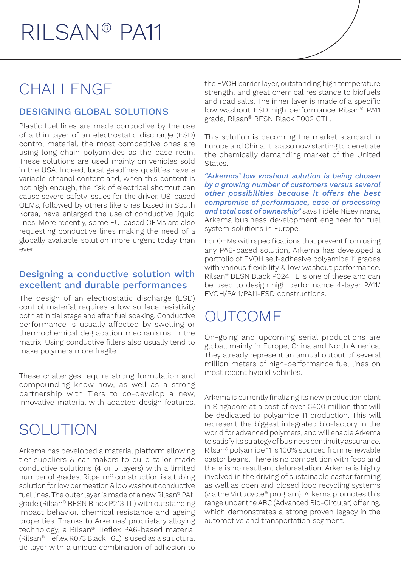### CHALLENGE

### DESIGNING GLOBAL SOLUTIONS

Plastic fuel lines are made conductive by the use of a thin layer of an electrostatic discharge (ESD) control material, the most competitive ones are using long chain polyamides as the base resin. These solutions are used mainly on vehicles sold in the USA. Indeed, local gasolines qualities have a variable ethanol content and, when this content is not high enough, the risk of electrical shortcut can cause severe safety issues for the driver. US-based OEMs, followed by others like ones based in South Korea, have enlarged the use of conductive liquid lines. More recently, some EU-based OEMs are also requesting conductive lines making the need of a globally available solution more urgent today than ever.

#### Designing a conductive solution with excellent and durable performances

The design of an electrostatic discharge (ESD) control material requires a low surface resistivity both at initial stage and after fuel soaking. Conductive performance is usually affected by swelling or thermochemical degradation mechanisms in the matrix. Using conductive fillers also usually tend to make polymers more fragile.

These challenges require strong formulation and compounding know how, as well as a strong partnership with Tiers to co-develop a new, innovative material with adapted design features.

## SOLUTION

Arkema has developed a material platform allowing tier suppliers & car makers to build tailor-made conductive solutions (4 or 5 layers) with a limited number of grades. Rilperm® construction is a tubing solution for low permeation & low washout conductive fuel lines. The outer layer is made of a new Rilsan® PA11 grade (Rilsan® BESN Black P213 TL) with outstanding impact behavior, chemical resistance and ageing properties. Thanks to Arkemas' proprietary alloying technology, a Rilsan® Tieflex PA6-based material (Rilsan® Tieflex R073 Black T6L) is used as a structural tie layer with a unique combination of adhesion to the EVOH barrier layer, outstanding high temperature strength, and great chemical resistance to biofuels and road salts. The inner layer is made of a specific low washout ESD high performance Rilsan® PA11 grade, Rilsan® BESN Black P002 CTL.

This solution is becoming the market standard in Europe and China. It is also now starting to penetrate the chemically demanding market of the United States.

*"Arkemas' low washout solution is being chosen by a growing number of customers versus several other possibilities because it offers the best compromise of performance, ease of processing and total cost of ownership"* says Fidèle Nizeyimana, Arkema business development engineer for fuel system solutions in Europe.

For OEMs with specifications that prevent from using any PA6-based solution, Arkema has developed a portfolio of EVOH self-adhesive polyamide 11 grades with various flexibility & low washout performance. Rilsan® BESN Black P024 TL is one of these and can be used to design high performance 4-layer PA11/ EVOH/PA11/PA11-ESD constructions.

### OUTCOME

On-going and upcoming serial productions are global, mainly in Europe, China and North America. They already represent an annual output of several million meters of high-performance fuel lines on most recent hybrid vehicles.

Arkema is currently finalizing its new production plant in Singapore at a cost of over €400 million that will be dedicated to polyamide 11 production. This will represent the biggest integrated bio-factory in the world for advanced polymers, and will enable Arkema to satisfy its strategy of business continuity assurance. Rilsan® polyamide 11 is 100% sourced from renewable castor beans. There is no competition with food and there is no resultant deforestation. Arkema is highly involved in the driving of sustainable castor farming as well as open and closed loop recycling systems (via the Virtucycle® program). Arkema promotes this range under the ABC (Advanced Bio-Circular) offering, which demonstrates a strong proven legacy in the automotive and transportation segment.